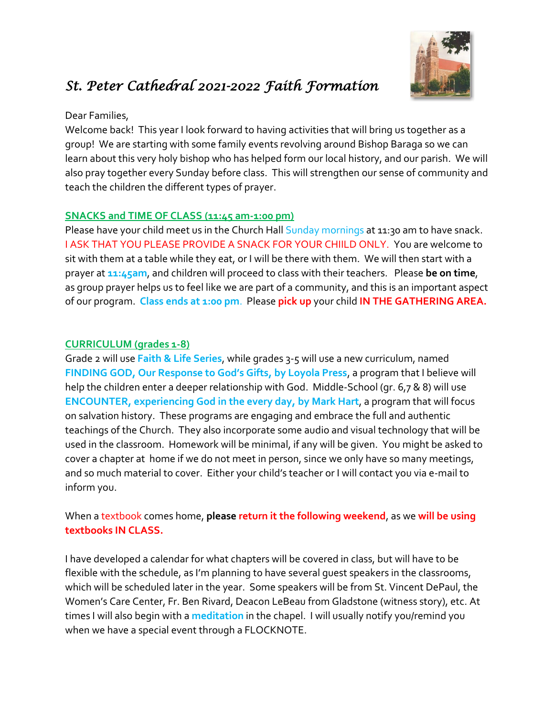

# *St. Peter Cathedral 2021-2022 Faith Formation*

## Dear Families,

Welcome back! This year I look forward to having activities that will bring us together as a group! We are starting with some family events revolving around Bishop Baraga so we can learn about this very holy bishop who has helped form our local history, and our parish. We will also pray together every Sunday before class. This will strengthen our sense of community and teach the children the different types of prayer.

## **SNACKS and TIME OF CLASS (11:45 am-1:00 pm)**

Please have your child meet us in the Church Hall Sunday mornings at 11:30 am to have snack. I ASK THAT YOU PLEASE PROVIDE A SNACK FOR YOUR CHIILD ONLY. You are welcome to sit with them at a table while they eat, or I will be there with them. We will then start with a prayer at **11:45am**, and children will proceed to class with their teachers. Please **be on time**, as group prayer helps us to feel like we are part of a community, and this is an important aspect of our program. **Class ends at 1:00 pm**. Please **pick up** your child **IN THE GATHERING AREA.**

## **CURRICULUM (grades 1-8)**

Grade 2 will use **Faith & Life Series**, while grades 3-5 will use a new curriculum, named **FINDING GOD, Our Response to God's Gifts, by Loyola Press**, a program that I believe will help the children enter a deeper relationship with God. Middle-School (gr. 6,7 & 8) will use **ENCOUNTER, experiencing God in the every day, by Mark Hart**, a program that will focus on salvation history. These programs are engaging and embrace the full and authentic teachings of the Church. They also incorporate some audio and visual technology that will be used in the classroom. Homework will be minimal, if any will be given. You might be asked to cover a chapter at home if we do not meet in person, since we only have so many meetings, and so much material to cover. Either your child's teacher or I will contact you via e-mail to inform you.

## When a textbook comes home, **please return it the following weekend**, as we **will be using textbooks IN CLASS.**

I have developed a calendar for what chapters will be covered in class, but will have to be flexible with the schedule, as I'm planning to have several guest speakers in the classrooms, which will be scheduled later in the year. Some speakers will be from St. Vincent DePaul, the Women's Care Center, Fr. Ben Rivard, Deacon LeBeau from Gladstone (witness story), etc. At times I will also begin with a **meditation** in the chapel. I will usually notify you/remind you when we have a special event through a FLOCKNOTE.